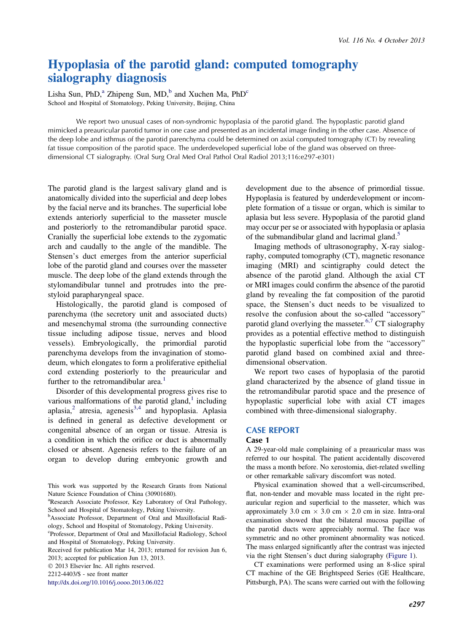# Hypoplasia of the parotid gland: computed tomography sialography diagnosis

Lisha Sun, PhD,<sup>a</sup> Zhipeng Sun, MD,<sup>b</sup> and Xuchen Ma, PhD<sup>c</sup> School and Hospital of Stomatology, Peking University, Beijing, China

We report two unusual cases of non-syndromic hypoplasia of the parotid gland. The hypoplastic parotid gland mimicked a preauricular parotid tumor in one case and presented as an incidental image finding in the other case. Absence of the deep lobe and isthmus of the parotid parenchyma could be determined on axial computed tomography (CT) by revealing fat tissue composition of the parotid space. The underdeveloped superficial lobe of the gland was observed on threedimensional CT sialography. (Oral Surg Oral Med Oral Pathol Oral Radiol 2013;116:e297-e301)

The parotid gland is the largest salivary gland and is anatomically divided into the superficial and deep lobes by the facial nerve and its branches. The superficial lobe extends anteriorly superficial to the masseter muscle and posteriorly to the retromandibular parotid space. Cranially the superficial lobe extends to the zygomatic arch and caudally to the angle of the mandible. The Stensen's duct emerges from the anterior superficial lobe of the parotid gland and courses over the masseter muscle. The deep lobe of the gland extends through the stylomandibular tunnel and protrudes into the prestyloid parapharyngeal space.

Histologically, the parotid gland is composed of parenchyma (the secretory unit and associated ducts) and mesenchymal stroma (the surrounding connective tissue including adipose tissue, nerves and blood vessels). Embryologically, the primordial parotid parenchyma develops from the invagination of stomodeum, which elongates to form a proliferative epithelial cord extending posteriorly to the preauricular and further to the retromandibular area.<sup>[1](#page-4-0)</sup>

Disorder of this developmental progress gives rise to various malformations of the parotid gland, $<sup>1</sup>$  $<sup>1</sup>$  $<sup>1</sup>$  including</sup> aplasia, $^2$  $^2$  atresia, agenesis $^{3,4}$  $^{3,4}$  $^{3,4}$  and hypoplasia. Aplasia is defined in general as defective development or congenital absence of an organ or tissue. Atresia is a condition in which the orifice or duct is abnormally closed or absent. Agenesis refers to the failure of an organ to develop during embryonic growth and

c Professor, Department of Oral and Maxillofacial Radiology, School and Hospital of Stomatology, Peking University.

Received for publication Mar 14, 2013; returned for revision Jun 6, 2013; accepted for publication Jun 13, 2013.

2013 Elsevier Inc. All rights reserved.

2212-4403/\$ - see front matter

<http://dx.doi.org/10.1016/j.oooo.2013.06.022>

development due to the absence of primordial tissue. Hypoplasia is featured by underdevelopment or incomplete formation of a tissue or organ, which is similar to aplasia but less severe. Hypoplasia of the parotid gland may occur per se or associated with hypoplasia or aplasia of the submandibular gland and lacrimal gland.<sup>5</sup>

Imaging methods of ultrasonography, X-ray sialography, computed tomography (CT), magnetic resonance imaging (MRI) and scintigraphy could detect the absence of the parotid gland. Although the axial CT or MRI images could confirm the absence of the parotid gland by revealing the fat composition of the parotid space, the Stensen's duct needs to be visualized to resolve the confusion about the so-called "accessory" parotid gland overlying the masseter.<sup>[6,7](#page-4-0)</sup> CT sialography provides as a potential effective method to distinguish the hypoplastic superficial lobe from the "accessory" parotid gland based on combined axial and threedimensional observation.

We report two cases of hypoplasia of the parotid gland characterized by the absence of gland tissue in the retromandibular parotid space and the presence of hypoplastic superficial lobe with axial CT images combined with three-dimensional sialography.

## CASE REPORT

### Case 1

A 29-year-old male complaining of a preauricular mass was referred to our hospital. The patient accidentally discovered the mass a month before. No xerostomia, diet-related swelling or other remarkable salivary discomfort was noted.

Physical examination showed that a well-circumscribed, flat, non-tender and movable mass located in the right preauricular region and superficial to the masseter, which was approximately 3.0 cm  $\times$  3.0 cm  $\times$  2.0 cm in size. Intra-oral examination showed that the bilateral mucosa papillae of the parotid ducts were appreciably normal. The face was symmetric and no other prominent abnormality was noticed. The mass enlarged significantly after the contrast was injected via the right Stensen's duct during sialography [\(Figure 1](#page-1-0)).

CT examinations were performed using an 8-slice spiral CT machine of the GE Brightspeed Series (GE Healthcare, Pittsburgh, PA). The scans were carried out with the following

This work was supported by the Research Grants from National Nature Science Foundation of China (30901680).

a Research Associate Professor, Key Laboratory of Oral Pathology, School and Hospital of Stomatology, Peking University.

b Associate Professor, Department of Oral and Maxillofacial Radiology, School and Hospital of Stomatology, Peking University.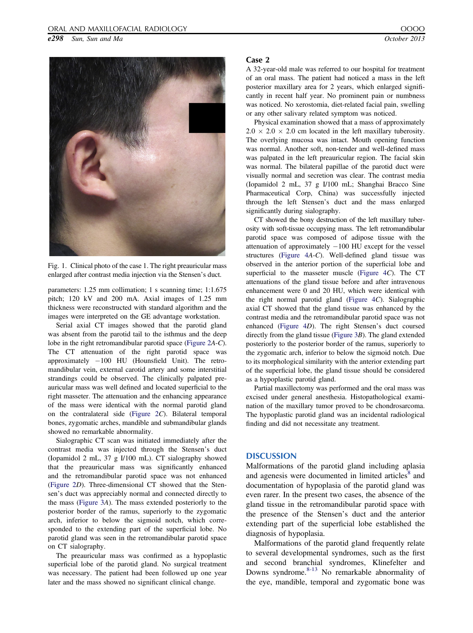<span id="page-1-0"></span>e298 Sun, Sun and Ma  $October 2013$ 



Fig. 1. Clinical photo of the case 1. The right preauricular mass enlarged after contrast media injection via the Stensen's duct.

parameters: 1.25 mm collimation; 1 s scanning time; 1:1.675 pitch; 120 kV and 200 mA. Axial images of 1.25 mm thickness were reconstructed with standard algorithm and the images were interpreted on the GE advantage workstation.

Serial axial CT images showed that the parotid gland was absent from the parotid tail to the isthmus and the deep lobe in the right retromandibular parotid space ([Figure 2](#page-2-0)A-C). The CT attenuation of the right parotid space was approximately  $-100$  HU (Hounsfield Unit). The retromandibular vein, external carotid artery and some interstitial strandings could be observed. The clinically palpated preauricular mass was well defined and located superficial to the right masseter. The attenuation and the enhancing appearance of the mass were identical with the normal parotid gland on the contralateral side [\(Figure 2](#page-2-0)C). Bilateral temporal bones, zygomatic arches, mandible and submandibular glands showed no remarkable abnormality.

Sialographic CT scan was initiated immediately after the contrast media was injected through the Stensen's duct (Iopamidol 2 mL, 37 g I/100 mL). CT sialography showed that the preauricular mass was significantly enhanced and the retromandibular parotid space was not enhanced [\(Figure 2](#page-2-0)D). Three-dimensional CT showed that the Stensen's duct was appreciably normal and connected directly to the mass ([Figure 3](#page-2-0)A). The mass extended posteriorly to the posterior border of the ramus, superiorly to the zygomatic arch, inferior to below the sigmoid notch, which corresponded to the extending part of the superficial lobe. No parotid gland was seen in the retromandibular parotid space on CT sialography.

The preauricular mass was confirmed as a hypoplastic superficial lobe of the parotid gland. No surgical treatment was necessary. The patient had been followed up one year later and the mass showed no significant clinical change.

### Case 2

A 32-year-old male was referred to our hospital for treatment of an oral mass. The patient had noticed a mass in the left posterior maxillary area for 2 years, which enlarged significantly in recent half year. No prominent pain or numbness was noticed. No xerostomia, diet-related facial pain, swelling or any other salivary related symptom was noticed.

Physical examination showed that a mass of approximately  $2.0 \times 2.0 \times 2.0$  cm located in the left maxillary tuberosity. The overlying mucosa was intact. Mouth opening function was normal. Another soft, non-tender and well-defined mass was palpated in the left preauricular region. The facial skin was normal. The bilateral papillae of the parotid duct were visually normal and secretion was clear. The contrast media (Iopamidol 2 mL, 37 g I/100 mL; Shanghai Bracco Sine Pharmaceutical Corp, China) was successfully injected through the left Stensen's duct and the mass enlarged significantly during sialography.

CT showed the bony destruction of the left maxillary tuberosity with soft-tissue occupying mass. The left retromandibular parotid space was composed of adipose tissue with the attenuation of approximately  $-100$  HU except for the vessel structures ([Figure 4](#page-3-0)A-C). Well-defined gland tissue was observed in the anterior portion of the superficial lobe and superficial to the masseter muscle (Figure  $4C$ ). The CT attenuations of the gland tissue before and after intravenous enhancement were 0 and 20 HU, which were identical with the right normal parotid gland [\(Figure 4](#page-3-0)C). Sialographic axial CT showed that the gland tissue was enhanced by the contrast media and the retromandibular parotid space was not enhanced [\(Figure 4](#page-3-0)D). The right Stensen's duct coursed directly from the gland tissue [\(Figure 3](#page-2-0)B). The gland extended posteriorly to the posterior border of the ramus, superiorly to the zygomatic arch, inferior to below the sigmoid notch. Due to its morphological similarity with the anterior extending part of the superficial lobe, the gland tissue should be considered as a hypoplastic parotid gland.

Partial maxillectomy was performed and the oral mass was excised under general anesthesia. Histopathological examination of the maxillary tumor proved to be chondrosarcoma. The hypoplastic parotid gland was an incidental radiological finding and did not necessitate any treatment.

## **DISCUSSION**

Malformations of the parotid gland including aplasia and agenesis were documented in limited articles<sup>[8](#page-4-0)</sup> and documentation of hypoplasia of the parotid gland was even rarer. In the present two cases, the absence of the gland tissue in the retromandibular parotid space with the presence of the Stensen's duct and the anterior extending part of the superficial lobe established the diagnosis of hypoplasia.

Malformations of the parotid gland frequently relate to several developmental syndromes, such as the first and second branchial syndromes, Klinefelter and Downs syndrome. $8-13$  No remarkable abnormality of the eye, mandible, temporal and zygomatic bone was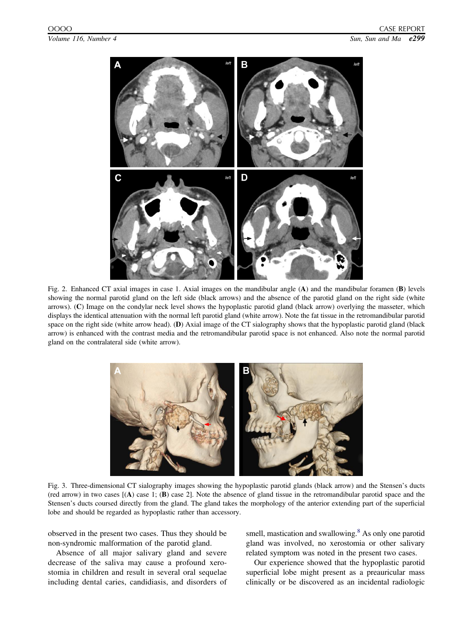<span id="page-2-0"></span>

Fig. 2. Enhanced CT axial images in case 1. Axial images on the mandibular angle (A) and the mandibular foramen (B) levels showing the normal parotid gland on the left side (black arrows) and the absence of the parotid gland on the right side (white arrows). (C) Image on the condylar neck level shows the hypoplastic parotid gland (black arrow) overlying the masseter, which displays the identical attenuation with the normal left parotid gland (white arrow). Note the fat tissue in the retromandibular parotid space on the right side (white arrow head). (D) Axial image of the CT sialography shows that the hypoplastic parotid gland (black arrow) is enhanced with the contrast media and the retromandibular parotid space is not enhanced. Also note the normal parotid gland on the contralateral side (white arrow).



Fig. 3. Three-dimensional CT sialography images showing the hypoplastic parotid glands (black arrow) and the Stensen's ducts (red arrow) in two cases [(A) case 1; (B) case 2]. Note the absence of gland tissue in the retromandibular parotid space and the Stensen's ducts coursed directly from the gland. The gland takes the morphology of the anterior extending part of the superficial lobe and should be regarded as hypoplastic rather than accessory.

observed in the present two cases. Thus they should be non-syndromic malformation of the parotid gland.

Absence of all major salivary gland and severe decrease of the saliva may cause a profound xerostomia in children and result in several oral sequelae including dental caries, candidiasis, and disorders of smell, mastication and swallowing.<sup>[8](#page-4-0)</sup> As only one parotid gland was involved, no xerostomia or other salivary related symptom was noted in the present two cases.

Our experience showed that the hypoplastic parotid superficial lobe might present as a preauricular mass clinically or be discovered as an incidental radiologic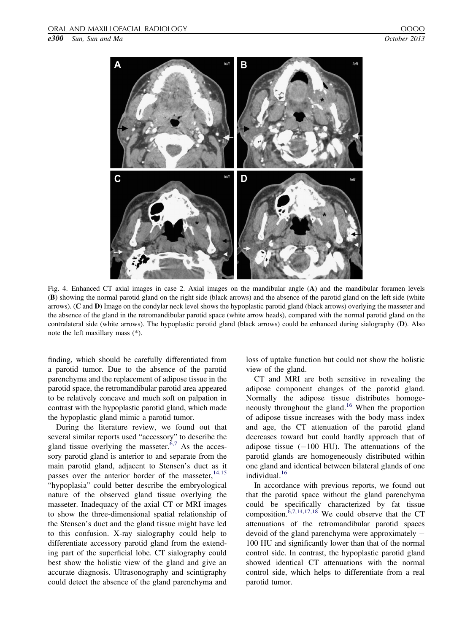<span id="page-3-0"></span>e300 Sun, Sun and Ma  $October 2013$ 



Fig. 4. Enhanced CT axial images in case 2. Axial images on the mandibular angle (A) and the mandibular foramen levels (B) showing the normal parotid gland on the right side (black arrows) and the absence of the parotid gland on the left side (white arrows). (C and D) Image on the condylar neck level shows the hypoplastic parotid gland (black arrows) overlying the masseter and the absence of the gland in the retromandibular parotid space (white arrow heads), compared with the normal parotid gland on the contralateral side (white arrows). The hypoplastic parotid gland (black arrows) could be enhanced during sialography (D). Also note the left maxillary mass (\*).

finding, which should be carefully differentiated from a parotid tumor. Due to the absence of the parotid parenchyma and the replacement of adipose tissue in the parotid space, the retromandibular parotid area appeared to be relatively concave and much soft on palpation in contrast with the hypoplastic parotid gland, which made the hypoplastic gland mimic a parotid tumor.

During the literature review, we found out that several similar reports used "accessory" to describe the gland tissue overlying the masseter. $6,7$  As the accessory parotid gland is anterior to and separate from the main parotid gland, adjacent to Stensen's duct as it passes over the anterior border of the masseter,  $14,15$ "hypoplasia" could better describe the embryological nature of the observed gland tissue overlying the masseter. Inadequacy of the axial CT or MRI images to show the three-dimensional spatial relationship of the Stensen's duct and the gland tissue might have led to this confusion. X-ray sialography could help to differentiate accessory parotid gland from the extending part of the superficial lobe. CT sialography could best show the holistic view of the gland and give an accurate diagnosis. Ultrasonography and scintigraphy could detect the absence of the gland parenchyma and loss of uptake function but could not show the holistic view of the gland.

CT and MRI are both sensitive in revealing the adipose component changes of the parotid gland. Normally the adipose tissue distributes homoge-neously throughout the gland.<sup>[16](#page-4-0)</sup> When the proportion of adipose tissue increases with the body mass index and age, the CT attenuation of the parotid gland decreases toward but could hardly approach that of adipose tissue  $(-100 \text{ HU})$ . The attenuations of the parotid glands are homogeneously distributed within one gland and identical between bilateral glands of one individual.<sup>[16](#page-4-0)</sup>

In accordance with previous reports, we found out that the parotid space without the gland parenchyma could be specifically characterized by fat tissue composition.  $\frac{6,7,14,17,18}{9}$  $\frac{6,7,14,17,18}{9}$  $\frac{6,7,14,17,18}{9}$  We could observe that the CT attenuations of the retromandibular parotid spaces devoid of the gland parenchyma were approximately 100 HU and significantly lower than that of the normal control side. In contrast, the hypoplastic parotid gland showed identical CT attenuations with the normal control side, which helps to differentiate from a real parotid tumor.